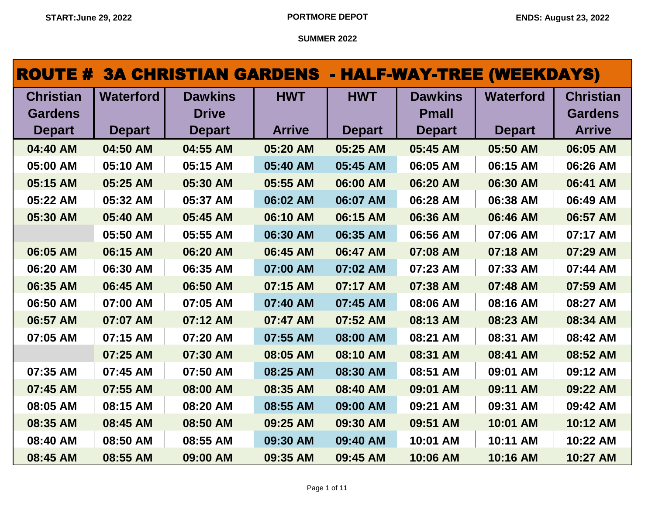| <b>ROUTE #</b>   |                  | <b>3A CHRISTIAN GARDENS - HALF-WAY-TREE (WEEKDAYS)</b> |               |               |                |                  |                  |
|------------------|------------------|--------------------------------------------------------|---------------|---------------|----------------|------------------|------------------|
| <b>Christian</b> | <b>Waterford</b> | <b>Dawkins</b>                                         | <b>HWT</b>    | <b>HWT</b>    | <b>Dawkins</b> | <b>Waterford</b> | <b>Christian</b> |
| <b>Gardens</b>   |                  | <b>Drive</b>                                           |               |               | <b>Pmall</b>   |                  | <b>Gardens</b>   |
| <b>Depart</b>    | <b>Depart</b>    | <b>Depart</b>                                          | <b>Arrive</b> | <b>Depart</b> | <b>Depart</b>  | <b>Depart</b>    | <b>Arrive</b>    |
| 04:40 AM         | 04:50 AM         | 04:55 AM                                               | 05:20 AM      | 05:25 AM      | 05:45 AM       | 05:50 AM         | 06:05 AM         |
| 05:00 AM         | 05:10 AM         | 05:15 AM                                               | 05:40 AM      | 05:45 AM      | 06:05 AM       | 06:15 AM         | 06:26 AM         |
| 05:15 AM         | 05:25 AM         | 05:30 AM                                               | 05:55 AM      | 06:00 AM      | 06:20 AM       | 06:30 AM         | 06:41 AM         |
| 05:22 AM         | 05:32 AM         | 05:37 AM                                               | 06:02 AM      | 06:07 AM      | 06:28 AM       | 06:38 AM         | 06:49 AM         |
| 05:30 AM         | 05:40 AM         | 05:45 AM                                               | 06:10 AM      | 06:15 AM      | 06:36 AM       | 06:46 AM         | 06:57 AM         |
|                  | 05:50 AM         | 05:55 AM                                               | 06:30 AM      | 06:35 AM      | 06:56 AM       | 07:06 AM         | 07:17 AM         |
| 06:05 AM         | 06:15 AM         | 06:20 AM                                               | 06:45 AM      | 06:47 AM      | 07:08 AM       | 07:18 AM         | 07:29 AM         |
| 06:20 AM         | 06:30 AM         | 06:35 AM                                               | 07:00 AM      | 07:02 AM      | 07:23 AM       | 07:33 AM         | 07:44 AM         |
| 06:35 AM         | 06:45 AM         | 06:50 AM                                               | 07:15 AM      | 07:17 AM      | 07:38 AM       | 07:48 AM         | 07:59 AM         |
| 06:50 AM         | 07:00 AM         | 07:05 AM                                               | 07:40 AM      | 07:45 AM      | 08:06 AM       | 08:16 AM         | 08:27 AM         |
| 06:57 AM         | 07:07 AM         | 07:12 AM                                               | 07:47 AM      | 07:52 AM      | 08:13 AM       | 08:23 AM         | 08:34 AM         |
| 07:05 AM         | 07:15 AM         | 07:20 AM                                               | 07:55 AM      | 08:00 AM      | 08:21 AM       | 08:31 AM         | 08:42 AM         |
|                  | 07:25 AM         | 07:30 AM                                               | 08:05 AM      | 08:10 AM      | 08:31 AM       | 08:41 AM         | 08:52 AM         |
| 07:35 AM         | 07:45 AM         | 07:50 AM                                               | 08:25 AM      | 08:30 AM      | 08:51 AM       | 09:01 AM         | 09:12 AM         |
| 07:45 AM         | 07:55 AM         | 08:00 AM                                               | 08:35 AM      | 08:40 AM      | 09:01 AM       | 09:11 AM         | 09:22 AM         |
| 08:05 AM         | 08:15 AM         | 08:20 AM                                               | 08:55 AM      | 09:00 AM      | 09:21 AM       | 09:31 AM         | 09:42 AM         |
| 08:35 AM         | 08:45 AM         | 08:50 AM                                               | 09:25 AM      | 09:30 AM      | 09:51 AM       | 10:01 AM         | 10:12 AM         |
| 08:40 AM         | 08:50 AM         | 08:55 AM                                               | 09:30 AM      | 09:40 AM      | 10:01 AM       | 10:11 AM         | 10:22 AM         |
| 08:45 AM         | 08:55 AM         | 09:00 AM                                               | 09:35 AM      | 09:45 AM      | 10:06 AM       | 10:16 AM         | 10:27 AM         |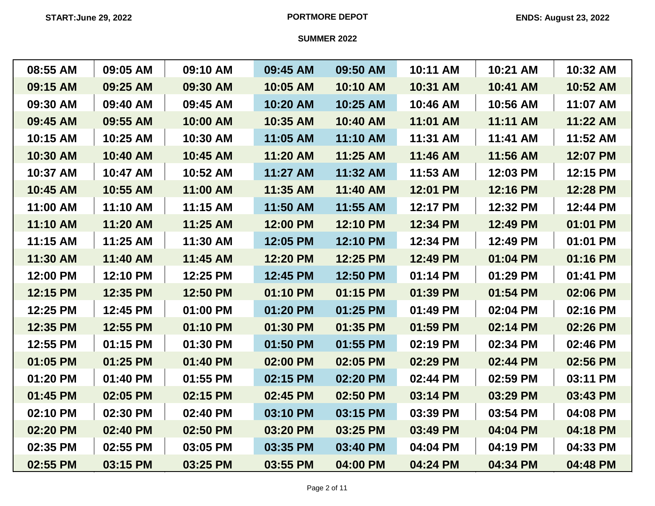| 08:55 AM | 09:05 AM | 09:10 AM | 09:45 AM | 09:50 AM | 10:11 AM | 10:21 AM | 10:32 AM |
|----------|----------|----------|----------|----------|----------|----------|----------|
| 09:15 AM | 09:25 AM | 09:30 AM | 10:05 AM | 10:10 AM | 10:31 AM | 10:41 AM | 10:52 AM |
| 09:30 AM | 09:40 AM | 09:45 AM | 10:20 AM | 10:25 AM | 10:46 AM | 10:56 AM | 11:07 AM |
| 09:45 AM | 09:55 AM | 10:00 AM | 10:35 AM | 10:40 AM | 11:01 AM | 11:11 AM | 11:22 AM |
| 10:15 AM | 10:25 AM | 10:30 AM | 11:05 AM | 11:10 AM | 11:31 AM | 11:41 AM | 11:52 AM |
| 10:30 AM | 10:40 AM | 10:45 AM | 11:20 AM | 11:25 AM | 11:46 AM | 11:56 AM | 12:07 PM |
| 10:37 AM | 10:47 AM | 10:52 AM | 11:27 AM | 11:32 AM | 11:53 AM | 12:03 PM | 12:15 PM |
| 10:45 AM | 10:55 AM | 11:00 AM | 11:35 AM | 11:40 AM | 12:01 PM | 12:16 PM | 12:28 PM |
| 11:00 AM | 11:10 AM | 11:15 AM | 11:50 AM | 11:55 AM | 12:17 PM | 12:32 PM | 12:44 PM |
| 11:10 AM | 11:20 AM | 11:25 AM | 12:00 PM | 12:10 PM | 12:34 PM | 12:49 PM | 01:01 PM |
| 11:15 AM | 11:25 AM | 11:30 AM | 12:05 PM | 12:10 PM | 12:34 PM | 12:49 PM | 01:01 PM |
| 11:30 AM | 11:40 AM | 11:45 AM | 12:20 PM | 12:25 PM | 12:49 PM | 01:04 PM | 01:16 PM |
| 12:00 PM | 12:10 PM | 12:25 PM | 12:45 PM | 12:50 PM | 01:14 PM | 01:29 PM | 01:41 PM |
| 12:15 PM | 12:35 PM | 12:50 PM | 01:10 PM | 01:15 PM | 01:39 PM | 01:54 PM | 02:06 PM |
| 12:25 PM | 12:45 PM | 01:00 PM | 01:20 PM | 01:25 PM | 01:49 PM | 02:04 PM | 02:16 PM |
| 12:35 PM | 12:55 PM | 01:10 PM | 01:30 PM | 01:35 PM | 01:59 PM | 02:14 PM | 02:26 PM |
| 12:55 PM | 01:15 PM | 01:30 PM | 01:50 PM | 01:55 PM | 02:19 PM | 02:34 PM | 02:46 PM |
| 01:05 PM | 01:25 PM | 01:40 PM | 02:00 PM | 02:05 PM | 02:29 PM | 02:44 PM | 02:56 PM |
| 01:20 PM | 01:40 PM | 01:55 PM | 02:15 PM | 02:20 PM | 02:44 PM | 02:59 PM | 03:11 PM |
| 01:45 PM | 02:05 PM | 02:15 PM | 02:45 PM | 02:50 PM | 03:14 PM | 03:29 PM | 03:43 PM |
| 02:10 PM | 02:30 PM | 02:40 PM | 03:10 PM | 03:15 PM | 03:39 PM | 03:54 PM | 04:08 PM |
| 02:20 PM | 02:40 PM | 02:50 PM | 03:20 PM | 03:25 PM | 03:49 PM | 04:04 PM | 04:18 PM |
| 02:35 PM | 02:55 PM | 03:05 PM | 03:35 PM | 03:40 PM | 04:04 PM | 04:19 PM | 04:33 PM |
| 02:55 PM | 03:15 PM | 03:25 PM | 03:55 PM | 04:00 PM | 04:24 PM | 04:34 PM | 04:48 PM |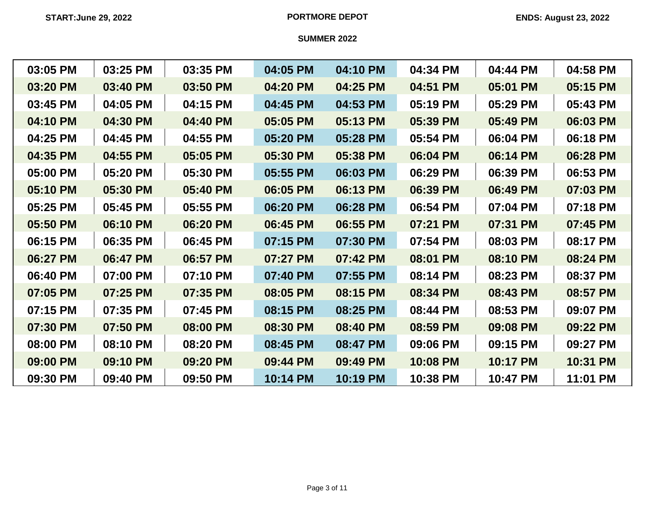| 03:05 PM | 03:25 PM | 03:35 PM | 04:05 PM | 04:10 PM | 04:34 PM | 04:44 PM | 04:58 PM |
|----------|----------|----------|----------|----------|----------|----------|----------|
| 03:20 PM | 03:40 PM | 03:50 PM | 04:20 PM | 04:25 PM | 04:51 PM | 05:01 PM | 05:15 PM |
| 03:45 PM | 04:05 PM | 04:15 PM | 04:45 PM | 04:53 PM | 05:19 PM | 05:29 PM | 05:43 PM |
| 04:10 PM | 04:30 PM | 04:40 PM | 05:05 PM | 05:13 PM | 05:39 PM | 05:49 PM | 06:03 PM |
| 04:25 PM | 04:45 PM | 04:55 PM | 05:20 PM | 05:28 PM | 05:54 PM | 06:04 PM | 06:18 PM |
| 04:35 PM | 04:55 PM | 05:05 PM | 05:30 PM | 05:38 PM | 06:04 PM | 06:14 PM | 06:28 PM |
| 05:00 PM | 05:20 PM | 05:30 PM | 05:55 PM | 06:03 PM | 06:29 PM | 06:39 PM | 06:53 PM |
| 05:10 PM | 05:30 PM | 05:40 PM | 06:05 PM | 06:13 PM | 06:39 PM | 06:49 PM | 07:03 PM |
| 05:25 PM | 05:45 PM | 05:55 PM | 06:20 PM | 06:28 PM | 06:54 PM | 07:04 PM | 07:18 PM |
| 05:50 PM | 06:10 PM | 06:20 PM | 06:45 PM | 06:55 PM | 07:21 PM | 07:31 PM | 07:45 PM |
| 06:15 PM | 06:35 PM | 06:45 PM | 07:15 PM | 07:30 PM | 07:54 PM | 08:03 PM | 08:17 PM |
| 06:27 PM | 06:47 PM | 06:57 PM | 07:27 PM | 07:42 PM | 08:01 PM | 08:10 PM | 08:24 PM |
| 06:40 PM | 07:00 PM | 07:10 PM | 07:40 PM | 07:55 PM | 08:14 PM | 08:23 PM | 08:37 PM |
| 07:05 PM | 07:25 PM | 07:35 PM | 08:05 PM | 08:15 PM | 08:34 PM | 08:43 PM | 08:57 PM |
| 07:15 PM | 07:35 PM | 07:45 PM | 08:15 PM | 08:25 PM | 08:44 PM | 08:53 PM | 09:07 PM |
| 07:30 PM | 07:50 PM | 08:00 PM | 08:30 PM | 08:40 PM | 08:59 PM | 09:08 PM | 09:22 PM |
| 08:00 PM | 08:10 PM | 08:20 PM | 08:45 PM | 08:47 PM | 09:06 PM | 09:15 PM | 09:27 PM |
| 09:00 PM | 09:10 PM | 09:20 PM | 09:44 PM | 09:49 PM | 10:08 PM | 10:17 PM | 10:31 PM |
| 09:30 PM | 09:40 PM | 09:50 PM | 10:14 PM | 10:19 PM | 10:38 PM | 10:47 PM | 11:01 PM |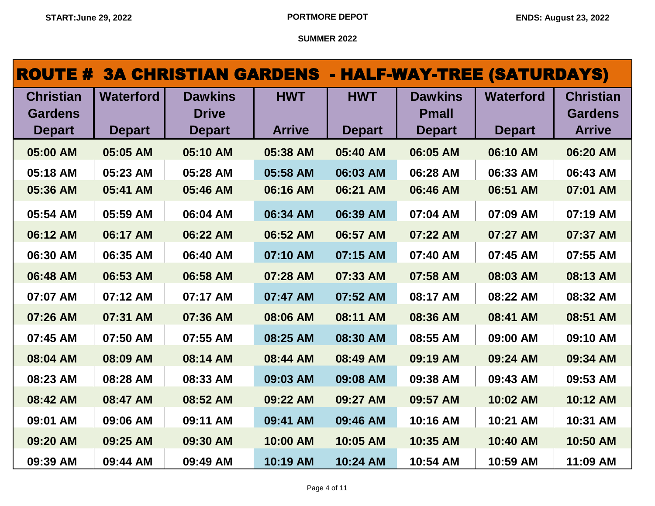| <b>ROUTE #</b>                                      |                                   | <b>3A CHRISTIAN GARDENS - HALF-WAY-TREE (SATURDAYS)</b> |                             |                             |                                                 |                                   |                                                     |
|-----------------------------------------------------|-----------------------------------|---------------------------------------------------------|-----------------------------|-----------------------------|-------------------------------------------------|-----------------------------------|-----------------------------------------------------|
| <b>Christian</b><br><b>Gardens</b><br><b>Depart</b> | <b>Waterford</b><br><b>Depart</b> | <b>Dawkins</b><br><b>Drive</b><br><b>Depart</b>         | <b>HWT</b><br><b>Arrive</b> | <b>HWT</b><br><b>Depart</b> | <b>Dawkins</b><br><b>Pmall</b><br><b>Depart</b> | <b>Waterford</b><br><b>Depart</b> | <b>Christian</b><br><b>Gardens</b><br><b>Arrive</b> |
| 05:00 AM                                            | 05:05 AM                          | 05:10 AM                                                | 05:38 AM                    | 05:40 AM                    | 06:05 AM                                        | 06:10 AM                          | 06:20 AM                                            |
| 05:18 AM                                            | 05:23 AM                          | 05:28 AM                                                | 05:58 AM                    | 06:03 AM                    | 06:28 AM                                        | 06:33 AM                          | 06:43 AM                                            |
| 05:36 AM                                            | 05:41 AM                          | 05:46 AM                                                | 06:16 AM                    | 06:21 AM                    | 06:46 AM                                        | 06:51 AM                          | 07:01 AM                                            |
| 05:54 AM                                            | 05:59 AM                          | 06:04 AM                                                | 06:34 AM                    | 06:39 AM                    | 07:04 AM                                        | 07:09 AM                          | 07:19 AM                                            |
| 06:12 AM                                            | 06:17 AM                          | 06:22 AM                                                | 06:52 AM                    | 06:57 AM                    | 07:22 AM                                        | 07:27 AM                          | 07:37 AM                                            |
| 06:30 AM                                            | 06:35 AM                          | 06:40 AM                                                | 07:10 AM                    | 07:15 AM                    | 07:40 AM                                        | 07:45 AM                          | 07:55 AM                                            |
| 06:48 AM                                            | 06:53 AM                          | 06:58 AM                                                | 07:28 AM                    | 07:33 AM                    | 07:58 AM                                        | 08:03 AM                          | 08:13 AM                                            |
| 07:07 AM                                            | 07:12 AM                          | 07:17 AM                                                | 07:47 AM                    | 07:52 AM                    | 08:17 AM                                        | 08:22 AM                          | 08:32 AM                                            |
| 07:26 AM                                            | 07:31 AM                          | 07:36 AM                                                | 08:06 AM                    | 08:11 AM                    | 08:36 AM                                        | 08:41 AM                          | 08:51 AM                                            |
| 07:45 AM                                            | 07:50 AM                          | 07:55 AM                                                | 08:25 AM                    | 08:30 AM                    | 08:55 AM                                        | 09:00 AM                          | 09:10 AM                                            |
| 08:04 AM                                            | 08:09 AM                          | 08:14 AM                                                | 08:44 AM                    | 08:49 AM                    | 09:19 AM                                        | 09:24 AM                          | 09:34 AM                                            |
| 08:23 AM                                            | 08:28 AM                          | 08:33 AM                                                | 09:03 AM                    | 09:08 AM                    | 09:38 AM                                        | 09:43 AM                          | 09:53 AM                                            |
| 08:42 AM                                            | 08:47 AM                          | 08:52 AM                                                | 09:22 AM                    | 09:27 AM                    | 09:57 AM                                        | 10:02 AM                          | 10:12 AM                                            |
| 09:01 AM                                            | 09:06 AM                          | 09:11 AM                                                | 09:41 AM                    | 09:46 AM                    | 10:16 AM                                        | 10:21 AM                          | 10:31 AM                                            |
| 09:20 AM                                            | 09:25 AM                          | 09:30 AM                                                | 10:00 AM                    | 10:05 AM                    | 10:35 AM                                        | 10:40 AM                          | 10:50 AM                                            |
| 09:39 AM                                            | 09:44 AM                          | 09:49 AM                                                | 10:19 AM                    | 10:24 AM                    | 10:54 AM                                        | 10:59 AM                          | 11:09 AM                                            |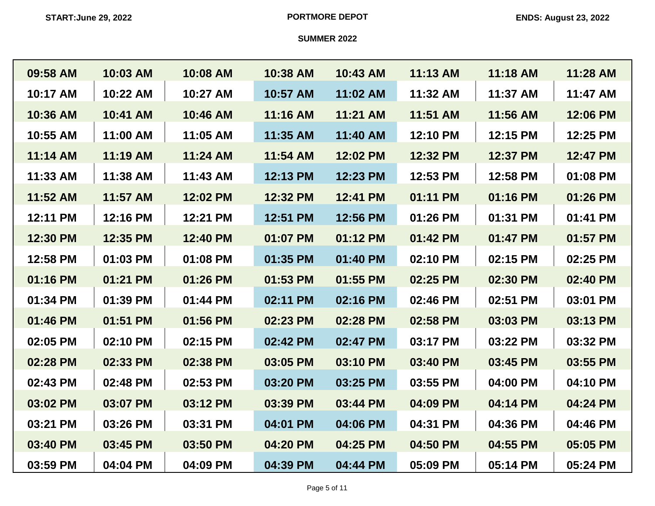| 09:58 AM | 10:03 AM | 10:08 AM | 10:38 AM | 10:43 AM | 11:13 AM | 11:18 AM | 11:28 AM |
|----------|----------|----------|----------|----------|----------|----------|----------|
| 10:17 AM | 10:22 AM | 10:27 AM | 10:57 AM | 11:02 AM | 11:32 AM | 11:37 AM | 11:47 AM |
| 10:36 AM | 10:41 AM | 10:46 AM | 11:16 AM | 11:21 AM | 11:51 AM | 11:56 AM | 12:06 PM |
| 10:55 AM | 11:00 AM | 11:05 AM | 11:35 AM | 11:40 AM | 12:10 PM | 12:15 PM | 12:25 PM |
| 11:14 AM | 11:19 AM | 11:24 AM | 11:54 AM | 12:02 PM | 12:32 PM | 12:37 PM | 12:47 PM |
| 11:33 AM | 11:38 AM | 11:43 AM | 12:13 PM | 12:23 PM | 12:53 PM | 12:58 PM | 01:08 PM |
| 11:52 AM | 11:57 AM | 12:02 PM | 12:32 PM | 12:41 PM | 01:11 PM | 01:16 PM | 01:26 PM |
| 12:11 PM | 12:16 PM | 12:21 PM | 12:51 PM | 12:56 PM | 01:26 PM | 01:31 PM | 01:41 PM |
| 12:30 PM | 12:35 PM | 12:40 PM | 01:07 PM | 01:12 PM | 01:42 PM | 01:47 PM | 01:57 PM |
| 12:58 PM | 01:03 PM | 01:08 PM | 01:35 PM | 01:40 PM | 02:10 PM | 02:15 PM | 02:25 PM |
| 01:16 PM | 01:21 PM | 01:26 PM | 01:53 PM | 01:55 PM | 02:25 PM | 02:30 PM | 02:40 PM |
| 01:34 PM | 01:39 PM | 01:44 PM | 02:11 PM | 02:16 PM | 02:46 PM | 02:51 PM | 03:01 PM |
| 01:46 PM | 01:51 PM | 01:56 PM | 02:23 PM | 02:28 PM | 02:58 PM | 03:03 PM | 03:13 PM |
| 02:05 PM | 02:10 PM | 02:15 PM | 02:42 PM | 02:47 PM | 03:17 PM | 03:22 PM | 03:32 PM |
| 02:28 PM | 02:33 PM | 02:38 PM | 03:05 PM | 03:10 PM | 03:40 PM | 03:45 PM | 03:55 PM |
| 02:43 PM | 02:48 PM | 02:53 PM | 03:20 PM | 03:25 PM | 03:55 PM | 04:00 PM | 04:10 PM |
| 03:02 PM | 03:07 PM | 03:12 PM | 03:39 PM | 03:44 PM | 04:09 PM | 04:14 PM | 04:24 PM |
| 03:21 PM | 03:26 PM | 03:31 PM | 04:01 PM | 04:06 PM | 04:31 PM | 04:36 PM | 04:46 PM |
| 03:40 PM | 03:45 PM | 03:50 PM | 04:20 PM | 04:25 PM | 04:50 PM | 04:55 PM | 05:05 PM |
| 03:59 PM | 04:04 PM | 04:09 PM | 04:39 PM | 04:44 PM | 05:09 PM | 05:14 PM | 05:24 PM |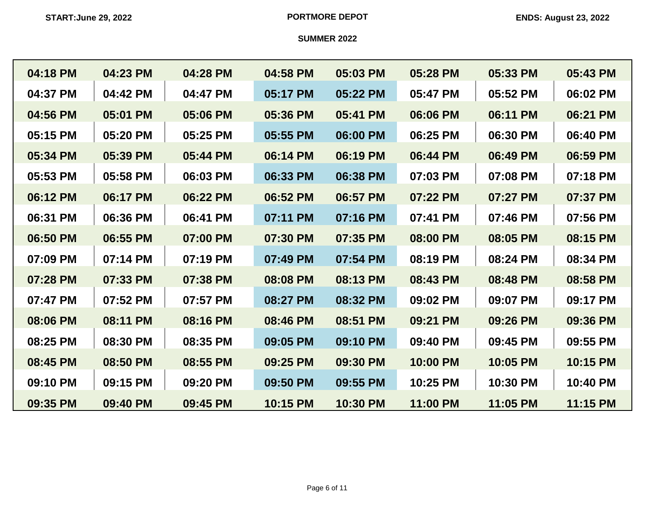| 04:18 PM | 04:23 PM | 04:28 PM | 04:58 PM | 05:03 PM | 05:28 PM | 05:33 PM | 05:43 PM |
|----------|----------|----------|----------|----------|----------|----------|----------|
| 04:37 PM | 04:42 PM | 04:47 PM | 05:17 PM | 05:22 PM | 05:47 PM | 05:52 PM | 06:02 PM |
| 04:56 PM | 05:01 PM | 05:06 PM | 05:36 PM | 05:41 PM | 06:06 PM | 06:11 PM | 06:21 PM |
| 05:15 PM | 05:20 PM | 05:25 PM | 05:55 PM | 06:00 PM | 06:25 PM | 06:30 PM | 06:40 PM |
| 05:34 PM | 05:39 PM | 05:44 PM | 06:14 PM | 06:19 PM | 06:44 PM | 06:49 PM | 06:59 PM |
| 05:53 PM | 05:58 PM | 06:03 PM | 06:33 PM | 06:38 PM | 07:03 PM | 07:08 PM | 07:18 PM |
| 06:12 PM | 06:17 PM | 06:22 PM | 06:52 PM | 06:57 PM | 07:22 PM | 07:27 PM | 07:37 PM |
| 06:31 PM | 06:36 PM | 06:41 PM | 07:11 PM | 07:16 PM | 07:41 PM | 07:46 PM | 07:56 PM |
| 06:50 PM | 06:55 PM | 07:00 PM | 07:30 PM | 07:35 PM | 08:00 PM | 08:05 PM | 08:15 PM |
| 07:09 PM | 07:14 PM | 07:19 PM | 07:49 PM | 07:54 PM | 08:19 PM | 08:24 PM | 08:34 PM |
| 07:28 PM | 07:33 PM | 07:38 PM | 08:08 PM | 08:13 PM | 08:43 PM | 08:48 PM | 08:58 PM |
| 07:47 PM | 07:52 PM | 07:57 PM | 08:27 PM | 08:32 PM | 09:02 PM | 09:07 PM | 09:17 PM |
| 08:06 PM | 08:11 PM | 08:16 PM | 08:46 PM | 08:51 PM | 09:21 PM | 09:26 PM | 09:36 PM |
| 08:25 PM | 08:30 PM | 08:35 PM | 09:05 PM | 09:10 PM | 09:40 PM | 09:45 PM | 09:55 PM |
| 08:45 PM | 08:50 PM | 08:55 PM | 09:25 PM | 09:30 PM | 10:00 PM | 10:05 PM | 10:15 PM |
| 09:10 PM | 09:15 PM | 09:20 PM | 09:50 PM | 09:55 PM | 10:25 PM | 10:30 PM | 10:40 PM |
| 09:35 PM | 09:40 PM | 09:45 PM | 10:15 PM | 10:30 PM | 11:00 PM | 11:05 PM | 11:15 PM |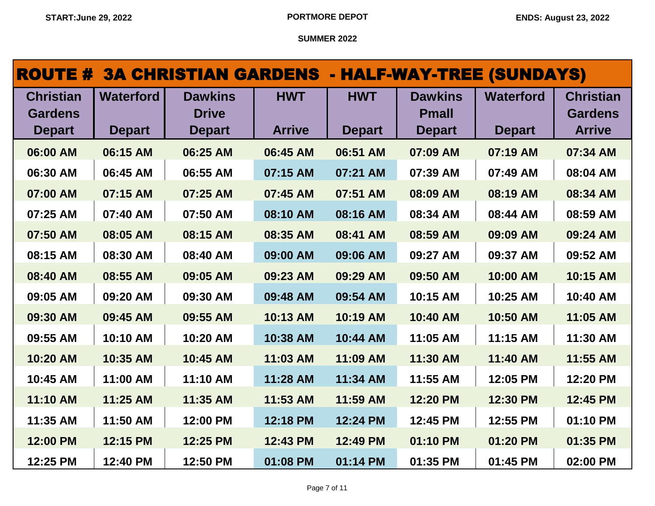|                                                     |                                   | <b>ROUTE # 3A CHRISTIAN GARDENS - HALF-WAY-TREE (SUNDAYS)</b> |                             |                             |                                                 |                                   |                                                     |
|-----------------------------------------------------|-----------------------------------|---------------------------------------------------------------|-----------------------------|-----------------------------|-------------------------------------------------|-----------------------------------|-----------------------------------------------------|
| <b>Christian</b><br><b>Gardens</b><br><b>Depart</b> | <b>Waterford</b><br><b>Depart</b> | <b>Dawkins</b><br><b>Drive</b><br><b>Depart</b>               | <b>HWT</b><br><b>Arrive</b> | <b>HWT</b><br><b>Depart</b> | <b>Dawkins</b><br><b>Pmall</b><br><b>Depart</b> | <b>Waterford</b><br><b>Depart</b> | <b>Christian</b><br><b>Gardens</b><br><b>Arrive</b> |
| 06:00 AM                                            | 06:15 AM                          | 06:25 AM                                                      | 06:45 AM                    | 06:51 AM                    | 07:09 AM                                        | 07:19 AM                          | 07:34 AM                                            |
| 06:30 AM                                            | 06:45 AM                          | 06:55 AM                                                      | 07:15 AM                    | 07:21 AM                    | 07:39 AM                                        | 07:49 AM                          | 08:04 AM                                            |
| 07:00 AM                                            | 07:15 AM                          | 07:25 AM                                                      | 07:45 AM                    | 07:51 AM                    | 08:09 AM                                        | 08:19 AM                          | 08:34 AM                                            |
| 07:25 AM                                            | 07:40 AM                          | 07:50 AM                                                      | 08:10 AM                    | 08:16 AM                    | 08:34 AM                                        | 08:44 AM                          | 08:59 AM                                            |
| 07:50 AM                                            | 08:05 AM                          | 08:15 AM                                                      | 08:35 AM                    | 08:41 AM                    | 08:59 AM                                        | 09:09 AM                          | 09:24 AM                                            |
| 08:15 AM                                            | 08:30 AM                          | 08:40 AM                                                      | 09:00 AM                    | 09:06 AM                    | 09:27 AM                                        | 09:37 AM                          | 09:52 AM                                            |
| 08:40 AM                                            | 08:55 AM                          | 09:05 AM                                                      | 09:23 AM                    | 09:29 AM                    | 09:50 AM                                        | 10:00 AM                          | 10:15 AM                                            |
| 09:05 AM                                            | 09:20 AM                          | 09:30 AM                                                      | 09:48 AM                    | 09:54 AM                    | 10:15 AM                                        | 10:25 AM                          | 10:40 AM                                            |
| 09:30 AM                                            | 09:45 AM                          | 09:55 AM                                                      | 10:13 AM                    | 10:19 AM                    | 10:40 AM                                        | 10:50 AM                          | 11:05 AM                                            |
| 09:55 AM                                            | 10:10 AM                          | 10:20 AM                                                      | 10:38 AM                    | 10:44 AM                    | 11:05 AM                                        | 11:15 AM                          | 11:30 AM                                            |
| 10:20 AM                                            | 10:35 AM                          | 10:45 AM                                                      | 11:03 AM                    | 11:09 AM                    | 11:30 AM                                        | 11:40 AM                          | 11:55 AM                                            |
| 10:45 AM                                            | 11:00 AM                          | 11:10 AM                                                      | 11:28 AM                    | 11:34 AM                    | 11:55 AM                                        | 12:05 PM                          | 12:20 PM                                            |
| 11:10 AM                                            | 11:25 AM                          | 11:35 AM                                                      | 11:53 AM                    | 11:59 AM                    | 12:20 PM                                        | 12:30 PM                          | 12:45 PM                                            |
| 11:35 AM                                            | 11:50 AM                          | 12:00 PM                                                      | 12:18 PM                    | 12:24 PM                    | 12:45 PM                                        | 12:55 PM                          | 01:10 PM                                            |
| 12:00 PM                                            | 12:15 PM                          | 12:25 PM                                                      | 12:43 PM                    | 12:49 PM                    | 01:10 PM                                        | 01:20 PM                          | 01:35 PM                                            |
| 12:25 PM                                            | 12:40 PM                          | 12:50 PM                                                      | 01:08 PM                    | 01:14 PM                    | 01:35 PM                                        | 01:45 PM                          | 02:00 PM                                            |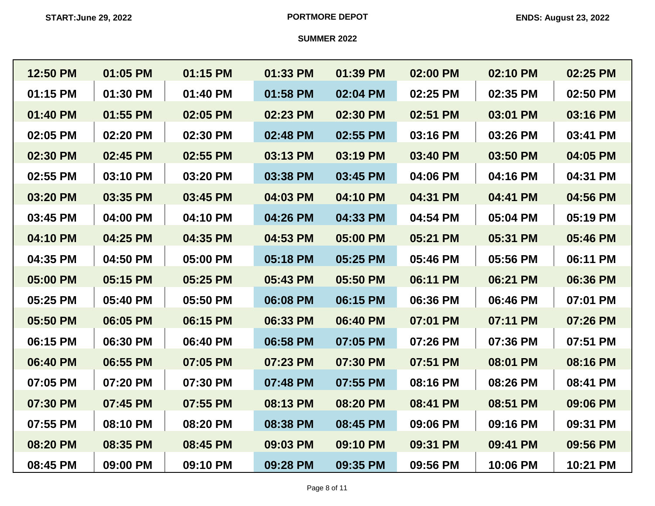| 12:50 PM | 01:05 PM | 01:15 PM | 01:33 PM | 01:39 PM | 02:00 PM | 02:10 PM | 02:25 PM |
|----------|----------|----------|----------|----------|----------|----------|----------|
| 01:15 PM | 01:30 PM | 01:40 PM | 01:58 PM | 02:04 PM | 02:25 PM | 02:35 PM | 02:50 PM |
| 01:40 PM | 01:55 PM | 02:05 PM | 02:23 PM | 02:30 PM | 02:51 PM | 03:01 PM | 03:16 PM |
| 02:05 PM | 02:20 PM | 02:30 PM | 02:48 PM | 02:55 PM | 03:16 PM | 03:26 PM | 03:41 PM |
| 02:30 PM | 02:45 PM | 02:55 PM | 03:13 PM | 03:19 PM | 03:40 PM | 03:50 PM | 04:05 PM |
| 02:55 PM | 03:10 PM | 03:20 PM | 03:38 PM | 03:45 PM | 04:06 PM | 04:16 PM | 04:31 PM |
| 03:20 PM | 03:35 PM | 03:45 PM | 04:03 PM | 04:10 PM | 04:31 PM | 04:41 PM | 04:56 PM |
| 03:45 PM | 04:00 PM | 04:10 PM | 04:26 PM | 04:33 PM | 04:54 PM | 05:04 PM | 05:19 PM |
| 04:10 PM | 04:25 PM | 04:35 PM | 04:53 PM | 05:00 PM | 05:21 PM | 05:31 PM | 05:46 PM |
| 04:35 PM | 04:50 PM | 05:00 PM | 05:18 PM | 05:25 PM | 05:46 PM | 05:56 PM | 06:11 PM |
| 05:00 PM | 05:15 PM | 05:25 PM | 05:43 PM | 05:50 PM | 06:11 PM | 06:21 PM | 06:36 PM |
| 05:25 PM | 05:40 PM | 05:50 PM | 06:08 PM | 06:15 PM | 06:36 PM | 06:46 PM | 07:01 PM |
| 05:50 PM | 06:05 PM | 06:15 PM | 06:33 PM | 06:40 PM | 07:01 PM | 07:11 PM | 07:26 PM |
| 06:15 PM | 06:30 PM | 06:40 PM | 06:58 PM | 07:05 PM | 07:26 PM | 07:36 PM | 07:51 PM |
| 06:40 PM | 06:55 PM | 07:05 PM | 07:23 PM | 07:30 PM | 07:51 PM | 08:01 PM | 08:16 PM |
| 07:05 PM | 07:20 PM | 07:30 PM | 07:48 PM | 07:55 PM | 08:16 PM | 08:26 PM | 08:41 PM |
| 07:30 PM | 07:45 PM | 07:55 PM | 08:13 PM | 08:20 PM | 08:41 PM | 08:51 PM | 09:06 PM |
| 07:55 PM | 08:10 PM | 08:20 PM | 08:38 PM | 08:45 PM | 09:06 PM | 09:16 PM | 09:31 PM |
| 08:20 PM | 08:35 PM | 08:45 PM | 09:03 PM | 09:10 PM | 09:31 PM | 09:41 PM | 09:56 PM |
| 08:45 PM | 09:00 PM | 09:10 PM | 09:28 PM | 09:35 PM | 09:56 PM | 10:06 PM | 10:21 PM |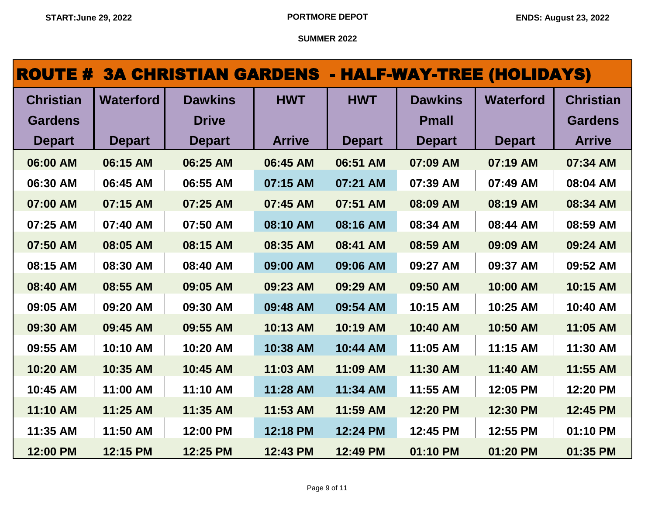# ROUTE # 3A CHRISTIAN GARDENS - HALF-WAY-TREE (HOLIDAYS)

| <b>Christian</b> | <b>Waterford</b> | <b>Dawkins</b> | <b>HWT</b>    | <b>HWT</b>    | <b>Dawkins</b> | <b>Waterford</b> | <b>Christian</b> |
|------------------|------------------|----------------|---------------|---------------|----------------|------------------|------------------|
| <b>Gardens</b>   |                  | <b>Drive</b>   |               |               | <b>Pmall</b>   |                  | <b>Gardens</b>   |
| <b>Depart</b>    | <b>Depart</b>    | <b>Depart</b>  | <b>Arrive</b> | <b>Depart</b> | <b>Depart</b>  | <b>Depart</b>    | <b>Arrive</b>    |
| 06:00 AM         | 06:15 AM         | 06:25 AM       | 06:45 AM      | 06:51 AM      | 07:09 AM       | 07:19 AM         | 07:34 AM         |
| 06:30 AM         | 06:45 AM         | 06:55 AM       | 07:15 AM      | 07:21 AM      | 07:39 AM       | 07:49 AM         | 08:04 AM         |
| 07:00 AM         | 07:15 AM         | 07:25 AM       | 07:45 AM      | 07:51 AM      | 08:09 AM       | 08:19 AM         | 08:34 AM         |
| 07:25 AM         | 07:40 AM         | 07:50 AM       | 08:10 AM      | 08:16 AM      | 08:34 AM       | 08:44 AM         | 08:59 AM         |
| 07:50 AM         | 08:05 AM         | 08:15 AM       | 08:35 AM      | 08:41 AM      | 08:59 AM       | 09:09 AM         | 09:24 AM         |
| 08:15 AM         | 08:30 AM         | 08:40 AM       | 09:00 AM      | 09:06 AM      | 09:27 AM       | 09:37 AM         | 09:52 AM         |
| 08:40 AM         | 08:55 AM         | 09:05 AM       | 09:23 AM      | 09:29 AM      | 09:50 AM       | 10:00 AM         | 10:15 AM         |
| 09:05 AM         | 09:20 AM         | 09:30 AM       | 09:48 AM      | 09:54 AM      | 10:15 AM       | 10:25 AM         | 10:40 AM         |
| 09:30 AM         | 09:45 AM         | 09:55 AM       | 10:13 AM      | 10:19 AM      | 10:40 AM       | 10:50 AM         | 11:05 AM         |
| 09:55 AM         | 10:10 AM         | 10:20 AM       | 10:38 AM      | 10:44 AM      | 11:05 AM       | 11:15 AM         | 11:30 AM         |
| 10:20 AM         | 10:35 AM         | 10:45 AM       | 11:03 AM      | 11:09 AM      | 11:30 AM       | 11:40 AM         | 11:55 AM         |
| 10:45 AM         | 11:00 AM         | 11:10 AM       | 11:28 AM      | 11:34 AM      | 11:55 AM       | 12:05 PM         | 12:20 PM         |
| 11:10 AM         | 11:25 AM         | 11:35 AM       | 11:53 AM      | 11:59 AM      | 12:20 PM       | 12:30 PM         | 12:45 PM         |
| 11:35 AM         | 11:50 AM         | 12:00 PM       | 12:18 PM      | 12:24 PM      | 12:45 PM       | 12:55 PM         | 01:10 PM         |
| 12:00 PM         | 12:15 PM         | 12:25 PM       | 12:43 PM      | 12:49 PM      | 01:10 PM       | 01:20 PM         | 01:35 PM         |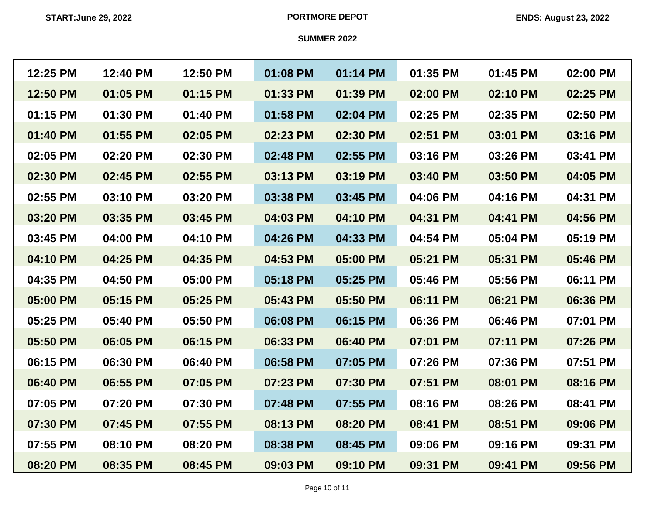| 12:25 PM | 12:40 PM | 12:50 PM | 01:08 PM | 01:14 PM | 01:35 PM | 01:45 PM | 02:00 PM |
|----------|----------|----------|----------|----------|----------|----------|----------|
| 12:50 PM | 01:05 PM | 01:15 PM | 01:33 PM | 01:39 PM | 02:00 PM | 02:10 PM | 02:25 PM |
| 01:15 PM | 01:30 PM | 01:40 PM | 01:58 PM | 02:04 PM | 02:25 PM | 02:35 PM | 02:50 PM |
| 01:40 PM | 01:55 PM | 02:05 PM | 02:23 PM | 02:30 PM | 02:51 PM | 03:01 PM | 03:16 PM |
| 02:05 PM | 02:20 PM | 02:30 PM | 02:48 PM | 02:55 PM | 03:16 PM | 03:26 PM | 03:41 PM |
| 02:30 PM | 02:45 PM | 02:55 PM | 03:13 PM | 03:19 PM | 03:40 PM | 03:50 PM | 04:05 PM |
| 02:55 PM | 03:10 PM | 03:20 PM | 03:38 PM | 03:45 PM | 04:06 PM | 04:16 PM | 04:31 PM |
| 03:20 PM | 03:35 PM | 03:45 PM | 04:03 PM | 04:10 PM | 04:31 PM | 04:41 PM | 04:56 PM |
| 03:45 PM | 04:00 PM | 04:10 PM | 04:26 PM | 04:33 PM | 04:54 PM | 05:04 PM | 05:19 PM |
| 04:10 PM | 04:25 PM | 04:35 PM | 04:53 PM | 05:00 PM | 05:21 PM | 05:31 PM | 05:46 PM |
| 04:35 PM | 04:50 PM | 05:00 PM | 05:18 PM | 05:25 PM | 05:46 PM | 05:56 PM | 06:11 PM |
| 05:00 PM | 05:15 PM | 05:25 PM | 05:43 PM | 05:50 PM | 06:11 PM | 06:21 PM | 06:36 PM |
| 05:25 PM | 05:40 PM | 05:50 PM | 06:08 PM | 06:15 PM | 06:36 PM | 06:46 PM | 07:01 PM |
| 05:50 PM | 06:05 PM | 06:15 PM | 06:33 PM | 06:40 PM | 07:01 PM | 07:11 PM | 07:26 PM |
| 06:15 PM | 06:30 PM | 06:40 PM | 06:58 PM | 07:05 PM | 07:26 PM | 07:36 PM | 07:51 PM |
| 06:40 PM | 06:55 PM | 07:05 PM | 07:23 PM | 07:30 PM | 07:51 PM | 08:01 PM | 08:16 PM |
| 07:05 PM | 07:20 PM | 07:30 PM | 07:48 PM | 07:55 PM | 08:16 PM | 08:26 PM | 08:41 PM |
| 07:30 PM | 07:45 PM | 07:55 PM | 08:13 PM | 08:20 PM | 08:41 PM | 08:51 PM | 09:06 PM |
| 07:55 PM | 08:10 PM | 08:20 PM | 08:38 PM | 08:45 PM | 09:06 PM | 09:16 PM | 09:31 PM |
| 08:20 PM | 08:35 PM | 08:45 PM | 09:03 PM | 09:10 PM | 09:31 PM | 09:41 PM | 09:56 PM |